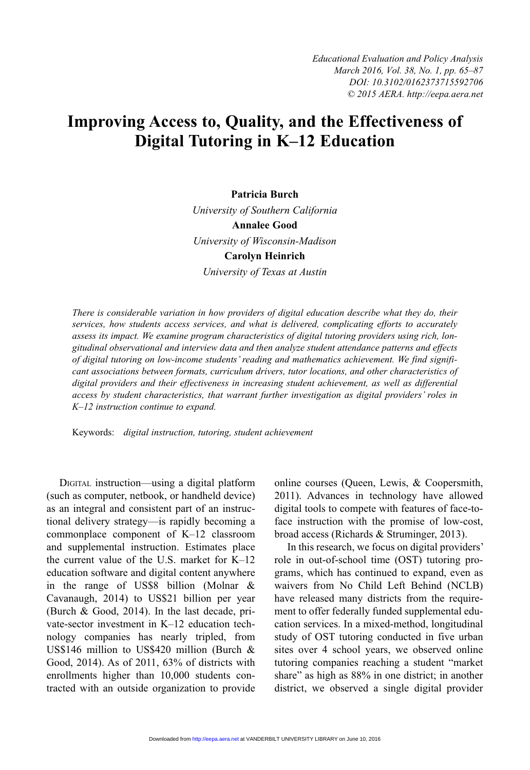# **Improving Access to, Quality, and the Effectiveness of Digital Tutoring in K–12 Education**

### **Patricia Burch**

*University of Southern California* **Annalee Good** *University of Wisconsin-Madison* **Carolyn Heinrich**

*University of Texas at Austin*

*There is considerable variation in how providers of digital education describe what they do, their services, how students access services, and what is delivered, complicating efforts to accurately assess its impact. We examine program characteristics of digital tutoring providers using rich, longitudinal observational and interview data and then analyze student attendance patterns and effects of digital tutoring on low-income students' reading and mathematics achievement. We find significant associations between formats, curriculum drivers, tutor locations, and other characteristics of digital providers and their effectiveness in increasing student achievement, as well as differential access by student characteristics, that warrant further investigation as digital providers' roles in K–12 instruction continue to expand.*

Keywords: *digital instruction, tutoring, student achievement*

Digital instruction—using a digital platform (such as computer, netbook, or handheld device) as an integral and consistent part of an instructional delivery strategy—is rapidly becoming a commonplace component of K–12 classroom and supplemental instruction. Estimates place the current value of the U.S. market for K–12 education software and digital content anywhere in the range of US\$8 billion (Molnar & Cavanaugh, 2014) to US\$21 billion per year (Burch & Good, 2014). In the last decade, private-sector investment in K–12 education technology companies has nearly tripled, from US\$146 million to US\$420 million (Burch & Good, 2014). As of 2011, 63% of districts with enrollments higher than 10,000 students contracted with an outside organization to provide

online courses (Queen, Lewis, & Coopersmith, 2011). Advances in technology have allowed digital tools to compete with features of face-toface instruction with the promise of low-cost, broad access (Richards & Struminger, 2013).

In this research, we focus on digital providers' role in out-of-school time (OST) tutoring programs, which has continued to expand, even as waivers from No Child Left Behind (NCLB) have released many districts from the requirement to offer federally funded supplemental education services. In a mixed-method, longitudinal study of OST tutoring conducted in five urban sites over 4 school years, we observed online tutoring companies reaching a student "market share" as high as 88% in one district; in another district, we observed a single digital provider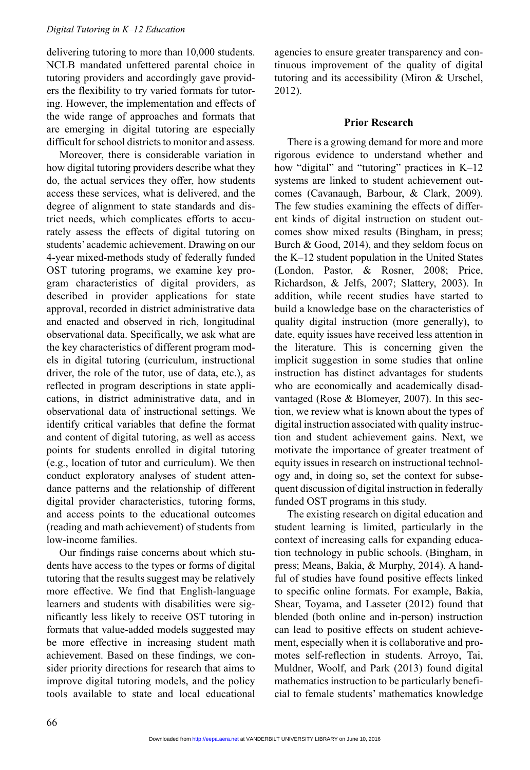#### *Digital Tutoring in K–12 Education*

delivering tutoring to more than 10,000 students. NCLB mandated unfettered parental choice in tutoring providers and accordingly gave providers the flexibility to try varied formats for tutoring. However, the implementation and effects of the wide range of approaches and formats that are emerging in digital tutoring are especially difficult for school districts to monitor and assess.

Moreover, there is considerable variation in how digital tutoring providers describe what they do, the actual services they offer, how students access these services, what is delivered, and the degree of alignment to state standards and district needs, which complicates efforts to accurately assess the effects of digital tutoring on students' academic achievement. Drawing on our 4-year mixed-methods study of federally funded OST tutoring programs, we examine key program characteristics of digital providers, as described in provider applications for state approval, recorded in district administrative data and enacted and observed in rich, longitudinal observational data. Specifically, we ask what are the key characteristics of different program models in digital tutoring (curriculum, instructional driver, the role of the tutor, use of data, etc.), as reflected in program descriptions in state applications, in district administrative data, and in observational data of instructional settings. We identify critical variables that define the format and content of digital tutoring, as well as access points for students enrolled in digital tutoring (e.g., location of tutor and curriculum). We then conduct exploratory analyses of student attendance patterns and the relationship of different digital provider characteristics, tutoring forms, and access points to the educational outcomes (reading and math achievement) of students from low-income families.

Our findings raise concerns about which students have access to the types or forms of digital tutoring that the results suggest may be relatively more effective. We find that English-language learners and students with disabilities were significantly less likely to receive OST tutoring in formats that value-added models suggested may be more effective in increasing student math achievement. Based on these findings, we consider priority directions for research that aims to improve digital tutoring models, and the policy tools available to state and local educational agencies to ensure greater transparency and continuous improvement of the quality of digital tutoring and its accessibility (Miron & Urschel, 2012).

### **Prior Research**

There is a growing demand for more and more rigorous evidence to understand whether and how "digital" and "tutoring" practices in K–12 systems are linked to student achievement outcomes (Cavanaugh, Barbour, & Clark, 2009). The few studies examining the effects of different kinds of digital instruction on student outcomes show mixed results (Bingham, in press; Burch & Good, 2014), and they seldom focus on the K–12 student population in the United States (London, Pastor, & Rosner, 2008; Price, Richardson, & Jelfs, 2007; Slattery, 2003). In addition, while recent studies have started to build a knowledge base on the characteristics of quality digital instruction (more generally), to date, equity issues have received less attention in the literature. This is concerning given the implicit suggestion in some studies that online instruction has distinct advantages for students who are economically and academically disadvantaged (Rose & Blomeyer, 2007). In this section, we review what is known about the types of digital instruction associated with quality instruction and student achievement gains. Next, we motivate the importance of greater treatment of equity issues in research on instructional technology and, in doing so, set the context for subsequent discussion of digital instruction in federally funded OST programs in this study.

The existing research on digital education and student learning is limited, particularly in the context of increasing calls for expanding education technology in public schools. (Bingham, in press; Means, Bakia, & Murphy, 2014). A handful of studies have found positive effects linked to specific online formats. For example, Bakia, Shear, Toyama, and Lasseter (2012) found that blended (both online and in-person) instruction can lead to positive effects on student achievement, especially when it is collaborative and promotes self-reflection in students. Arroyo, Tai, Muldner, Woolf, and Park (2013) found digital mathematics instruction to be particularly beneficial to female students' mathematics knowledge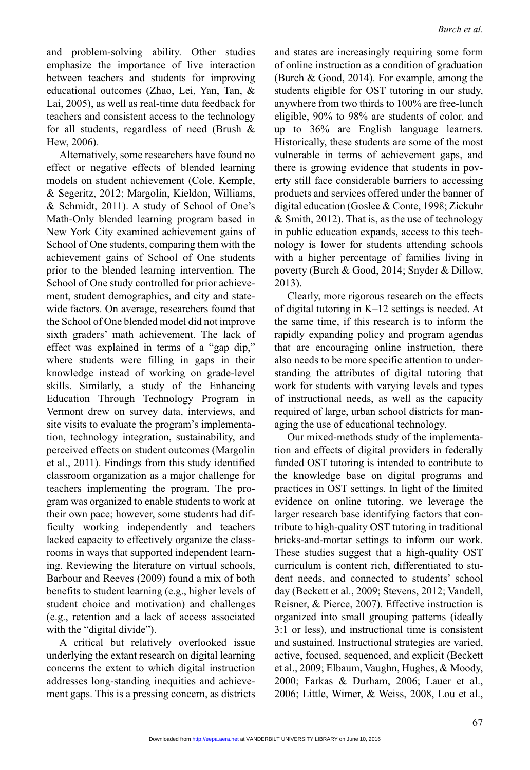and problem-solving ability. Other studies emphasize the importance of live interaction between teachers and students for improving educational outcomes (Zhao, Lei, Yan, Tan, & Lai, 2005), as well as real-time data feedback for teachers and consistent access to the technology for all students, regardless of need (Brush & Hew, 2006).

Alternatively, some researchers have found no effect or negative effects of blended learning models on student achievement (Cole, Kemple, & Segeritz, 2012; Margolin, Kieldon, Williams, & Schmidt, 2011). A study of School of One's Math-Only blended learning program based in New York City examined achievement gains of School of One students, comparing them with the achievement gains of School of One students prior to the blended learning intervention. The School of One study controlled for prior achievement, student demographics, and city and statewide factors. On average, researchers found that the School of One blended model did not improve sixth graders' math achievement. The lack of effect was explained in terms of a "gap dip," where students were filling in gaps in their knowledge instead of working on grade-level skills. Similarly, a study of the Enhancing Education Through Technology Program in Vermont drew on survey data, interviews, and site visits to evaluate the program's implementation, technology integration, sustainability, and perceived effects on student outcomes (Margolin et al., 2011). Findings from this study identified classroom organization as a major challenge for teachers implementing the program. The program was organized to enable students to work at their own pace; however, some students had difficulty working independently and teachers lacked capacity to effectively organize the classrooms in ways that supported independent learning. Reviewing the literature on virtual schools, Barbour and Reeves (2009) found a mix of both benefits to student learning (e.g., higher levels of student choice and motivation) and challenges (e.g., retention and a lack of access associated with the "digital divide").

A critical but relatively overlooked issue underlying the extant research on digital learning concerns the extent to which digital instruction addresses long-standing inequities and achievement gaps. This is a pressing concern, as districts and states are increasingly requiring some form of online instruction as a condition of graduation (Burch & Good, 2014). For example, among the students eligible for OST tutoring in our study, anywhere from two thirds to 100% are free-lunch eligible, 90% to 98% are students of color, and up to 36% are English language learners. Historically, these students are some of the most vulnerable in terms of achievement gaps, and there is growing evidence that students in poverty still face considerable barriers to accessing products and services offered under the banner of digital education (Goslee & Conte, 1998; Zickuhr & Smith, 2012). That is, as the use of technology in public education expands, access to this technology is lower for students attending schools with a higher percentage of families living in poverty (Burch & Good, 2014; Snyder & Dillow, 2013).

Clearly, more rigorous research on the effects of digital tutoring in K–12 settings is needed. At the same time, if this research is to inform the rapidly expanding policy and program agendas that are encouraging online instruction, there also needs to be more specific attention to understanding the attributes of digital tutoring that work for students with varying levels and types of instructional needs, as well as the capacity required of large, urban school districts for managing the use of educational technology.

Our mixed-methods study of the implementation and effects of digital providers in federally funded OST tutoring is intended to contribute to the knowledge base on digital programs and practices in OST settings. In light of the limited evidence on online tutoring, we leverage the larger research base identifying factors that contribute to high-quality OST tutoring in traditional bricks-and-mortar settings to inform our work. These studies suggest that a high-quality OST curriculum is content rich, differentiated to student needs, and connected to students' school day (Beckett et al., 2009; Stevens, 2012; Vandell, Reisner, & Pierce, 2007). Effective instruction is organized into small grouping patterns (ideally 3:1 or less), and instructional time is consistent and sustained. Instructional strategies are varied, active, focused, sequenced, and explicit (Beckett et al., 2009; Elbaum, Vaughn, Hughes, & Moody, 2000; Farkas & Durham, 2006; Lauer et al., 2006; Little, Wimer, & Weiss, 2008, Lou et al.,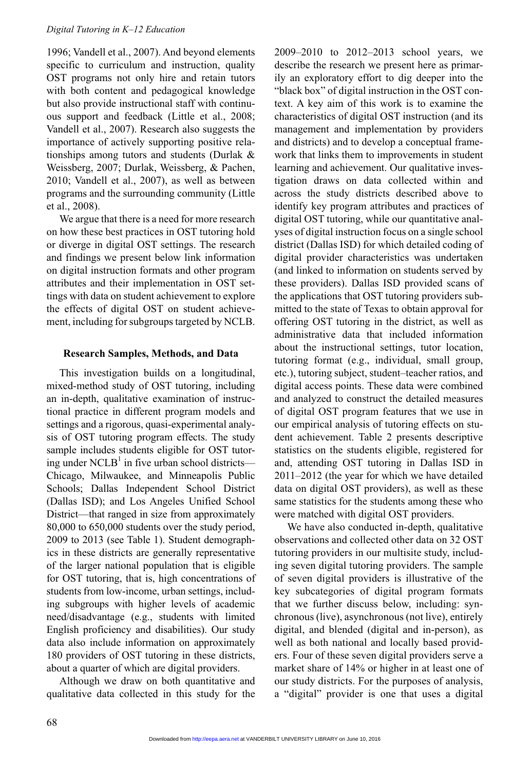### *Digital Tutoring in K–12 Education*

1996; Vandell et al., 2007). And beyond elements specific to curriculum and instruction, quality OST programs not only hire and retain tutors with both content and pedagogical knowledge but also provide instructional staff with continuous support and feedback (Little et al., 2008; Vandell et al., 2007). Research also suggests the importance of actively supporting positive relationships among tutors and students (Durlak & Weissberg, 2007; Durlak, Weissberg, & Pachen, 2010; Vandell et al., 2007), as well as between programs and the surrounding community (Little et al., 2008).

We argue that there is a need for more research on how these best practices in OST tutoring hold or diverge in digital OST settings. The research and findings we present below link information on digital instruction formats and other program attributes and their implementation in OST settings with data on student achievement to explore the effects of digital OST on student achievement, including for subgroups targeted by NCLB.

# **Research Samples, Methods, and Data**

This investigation builds on a longitudinal, mixed-method study of OST tutoring, including an in-depth, qualitative examination of instructional practice in different program models and settings and a rigorous, quasi-experimental analysis of OST tutoring program effects. The study sample includes students eligible for OST tutoring under  $NCLB<sup>1</sup>$  in five urban school districts— Chicago, Milwaukee, and Minneapolis Public Schools; Dallas Independent School District (Dallas ISD); and Los Angeles Unified School District—that ranged in size from approximately 80,000 to 650,000 students over the study period, 2009 to 2013 (see Table 1). Student demographics in these districts are generally representative of the larger national population that is eligible for OST tutoring, that is, high concentrations of students from low-income, urban settings, including subgroups with higher levels of academic need/disadvantage (e.g., students with limited English proficiency and disabilities). Our study data also include information on approximately 180 providers of OST tutoring in these districts, about a quarter of which are digital providers.

Although we draw on both quantitative and qualitative data collected in this study for the

2009–2010 to 2012–2013 school years, we describe the research we present here as primarily an exploratory effort to dig deeper into the "black box" of digital instruction in the OST context. A key aim of this work is to examine the characteristics of digital OST instruction (and its management and implementation by providers and districts) and to develop a conceptual framework that links them to improvements in student learning and achievement. Our qualitative investigation draws on data collected within and across the study districts described above to identify key program attributes and practices of digital OST tutoring, while our quantitative analyses of digital instruction focus on a single school district (Dallas ISD) for which detailed coding of digital provider characteristics was undertaken (and linked to information on students served by these providers). Dallas ISD provided scans of the applications that OST tutoring providers submitted to the state of Texas to obtain approval for offering OST tutoring in the district, as well as administrative data that included information about the instructional settings, tutor location, tutoring format (e.g., individual, small group, etc.), tutoring subject, student–teacher ratios, and digital access points. These data were combined and analyzed to construct the detailed measures of digital OST program features that we use in our empirical analysis of tutoring effects on student achievement. Table 2 presents descriptive statistics on the students eligible, registered for and, attending OST tutoring in Dallas ISD in 2011–2012 (the year for which we have detailed data on digital OST providers), as well as these same statistics for the students among these who were matched with digital OST providers.

We have also conducted in-depth, qualitative observations and collected other data on 32 OST tutoring providers in our multisite study, including seven digital tutoring providers. The sample of seven digital providers is illustrative of the key subcategories of digital program formats that we further discuss below, including: synchronous (live), asynchronous (not live), entirely digital, and blended (digital and in-person), as well as both national and locally based providers. Four of these seven digital providers serve a market share of 14% or higher in at least one of our study districts. For the purposes of analysis, a "digital" provider is one that uses a digital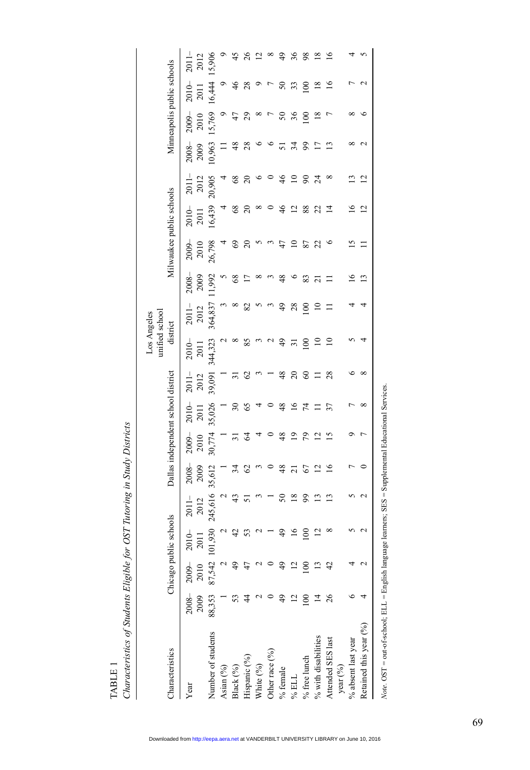Characteristics of Students Eligible for OST Tutoring in Study Districts *Characteristics of Students Eligible for OST Tutoring in Study Districts* TABLE 1 Table 1

| Characteristics        |                  |                  | Chicago public schools |               |                | Dallas independent school district |                          |                  | unified school<br>Los Angeles<br>district |                  |                       | Milwaukee public schools |                 |                  |                    | Minneapolis public schools |                 |                  |
|------------------------|------------------|------------------|------------------------|---------------|----------------|------------------------------------|--------------------------|------------------|-------------------------------------------|------------------|-----------------------|--------------------------|-----------------|------------------|--------------------|----------------------------|-----------------|------------------|
| Year                   | $2008 -$<br>2009 | $2009 -$<br>2010 | $2010 -$<br>2011       | 2012<br>2011- | 2009<br>2008-  | 2010<br>2009-                      | $2010-$<br>2011          | $2011 -$<br>2012 | 2010<br>2011                              | $2011 -$<br>2012 | 2009<br>2008          | 2010<br>2009-            | $2010-$<br>2011 | $2011 -$<br>2012 | 2009<br>2008-      | $2009 -$<br>2010           | 2010-<br>2011   | $2011 -$<br>2012 |
| Number of students     | 88,353           |                  | 87,542 101,930         | 245,616       | 35,612         | 30,774                             | 35,026                   | 39,091           | 344,323                                   | 364,837          | 11,992                | 26,798                   | 16,439          | 20,905           | 10,963             | 15,769                     | 16,444          | 15,906           |
| Asian (%)              |                  |                  | 2                      |               |                |                                    |                          |                  |                                           |                  | $\tilde{\phantom{0}}$ |                          |                 |                  |                    |                            | $\circ$         |                  |
| Black (%)              |                  |                  | $\overline{4}$         | 43            | 34             | $\Xi$                              | $\overline{\mathbf{30}}$ | $\overline{5}$   | $\infty$                                  | $\infty$         | 68                    | $\mathcal{C}^9$          | $^{68}$         | $\frac{8}{3}$    | $\frac{8}{3}$      |                            | $\frac{4}{6}$   |                  |
| Hispanic (%)           |                  |                  | 53                     | 5             | $\mathcal{S}$  | $\mathcal{Z}$                      | 65                       | $\mathcal{S}$    | 85                                        | 82               | 17                    | $\infty$                 | $\overline{c}$  | $\overline{c}$   | 28                 | 47<br>29                   | 28              |                  |
| White (%)              |                  |                  |                        |               |                |                                    |                          |                  |                                           |                  | $\infty$              |                          |                 |                  |                    |                            | $\circ$         |                  |
| Other race (%)         |                  |                  |                        |               |                |                                    |                          |                  |                                           |                  |                       |                          |                 |                  | ٥                  |                            |                 | ∞                |
| % female               |                  |                  | $\overline{6}$         | 50            | $\frac{8}{3}$  | $\frac{8}{3}$                      | $\frac{8}{3}$            | $\frac{8}{3}$    | $\frac{4}{9}$                             | $\frac{9}{4}$    | $\frac{8}{3}$         | 47                       | $\frac{1}{2}$   | $\frac{4}{6}$    | 5                  | 50                         | $50\,$          | $\frac{9}{4}$    |
| %ELL                   |                  |                  | $\overline{16}$        | $\frac{8}{2}$ | $\overline{z}$ | $\overline{0}$                     | 16                       | $\approx$        | $\Xi$                                     | 28               | $\circ$               | $\Xi$                    | $\overline{c}$  | $\approx$        | 24                 | 36                         | 33              | 36               |
| % free lunch           |                  | $\mathsf{S}$     | $\approx$              | 99            | 67             | 64                                 | $\overline{7}$           | 3                | $\overline{0}$                            | $\overline{0}$   | 83                    | 87                       | 88              | $\infty$         | 9                  | $\overline{0}$             | $\overline{0}$  | 98               |
| % with disabilities    |                  |                  | $\overline{C}$         | 13            | $\Xi$          |                                    |                          |                  | $\approx$                                 |                  | ಸ                     | 22                       | 22              | $\frac{24}{3}$   |                    |                            | $\overline{18}$ | $\frac{8}{1}$    |
| Attended SES last      | 26               | $\frac{2}{3}$    | $\infty$               | $\mathbf{13}$ | $\geq$         |                                    | 37                       | 28               | $\Xi$                                     |                  |                       | $\circ$                  | $\vec{a}$       |                  | $\Xi$              | $\overline{ }$             | $\frac{6}{2}$   | $\tilde{=}$      |
| year (%)               |                  |                  |                        |               |                |                                    |                          |                  |                                           |                  |                       |                          |                 |                  |                    |                            |                 |                  |
| % absent last year     |                  |                  |                        |               |                |                                    |                          |                  |                                           |                  | $\frac{6}{2}$         | $\overline{15}$          | $\geq$          | $\mathbf{r}$     |                    |                            |                 |                  |
| Retained this year (%) |                  |                  | N                      |               | 0              | ↽                                  | $\infty$                 | $\infty$         |                                           |                  | $\mathbf{r}$          |                          | $\overline{c}$  | $\overline{c}$   | $\scriptstyle\sim$ | ∘                          | $\sim$          |                  |
|                        |                  |                  |                        |               |                |                                    |                          |                  |                                           |                  |                       |                          |                 |                  |                    |                            |                 |                  |

Note. OST = out-of-school; ELL = English language learners; SES = Supplemental Educational Services. *Note.* OST = out-of-school; ELL = English language learners; SES = Supplemental Educational Services.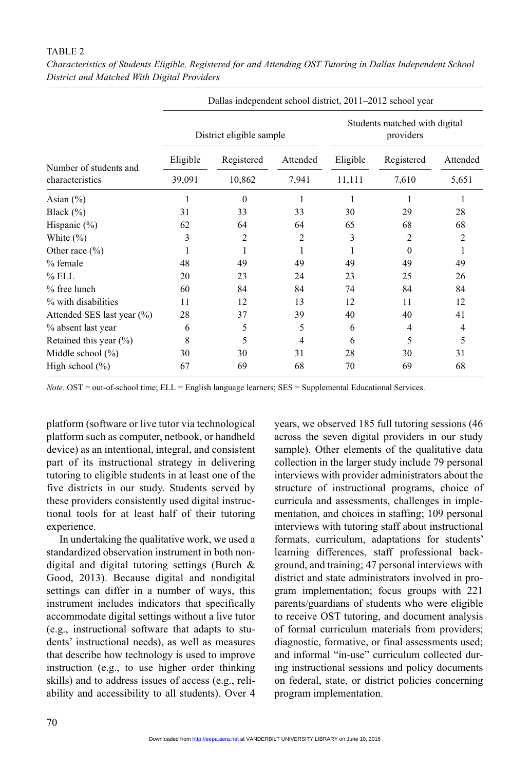# TABLE<sub>2</sub>

|                                | Dallas independent school district, 2011-2012 school year |                          |                |          |                                            |          |  |  |
|--------------------------------|-----------------------------------------------------------|--------------------------|----------------|----------|--------------------------------------------|----------|--|--|
|                                |                                                           | District eligible sample |                |          | Students matched with digital<br>providers |          |  |  |
| Number of students and         | Eligible                                                  | Registered               | Attended       | Eligible | Registered                                 | Attended |  |  |
| characteristics                | 39,091                                                    | 10,862                   | 7,941          | 11,111   | 7,610                                      | 5,651    |  |  |
| Asian $(\% )$                  | 1                                                         | $\theta$                 |                | 1        | 1                                          | 1        |  |  |
| Black $(\% )$                  | 31                                                        | 33                       | 33             | 30       | 29                                         | 28       |  |  |
| Hispanic $(\% )$               | 62                                                        | 64                       | 64             | 65       | 68                                         | 68       |  |  |
| White $(\%)$                   | 3                                                         | $\overline{c}$           | $\overline{c}$ | 3        | 2                                          | 2        |  |  |
| Other race $(\% )$             |                                                           |                          |                | 1        | $\theta$                                   |          |  |  |
| $%$ female                     | 48                                                        | 49                       | 49             | 49       | 49                                         | 49       |  |  |
| $%$ ELL                        | 20                                                        | 23                       | 24             | 23       | 25                                         | 26       |  |  |
| $%$ free lunch                 | 60                                                        | 84                       | 84             | 74       | 84                                         | 84       |  |  |
| % with disabilities            | 11                                                        | 12                       | 13             | 12       | 11                                         | 12       |  |  |
| Attended SES last year $(\% )$ | 28                                                        | 37                       | 39             | 40       | 40                                         | 41       |  |  |
| % absent last year             | 6                                                         | 5                        | 5              | 6        | $\overline{4}$                             | 4        |  |  |
| Retained this year $(\% )$     | 8                                                         | 5                        | 4              | 6        | 5                                          | 5        |  |  |
| Middle school $(\%)$           | 30                                                        | 30                       | 31             | 28       | 30                                         | 31       |  |  |
| High school $(\% )$            | 67                                                        | 69                       | 68             | 70       | 69                                         | 68       |  |  |

*Characteristics of Students Eligible, Registered for and Attending OST Tutoring in Dallas Independent School District and Matched With Digital Providers*

*Note.* OST = out-of-school time; ELL = English language learners; SES = Supplemental Educational Services.

platform (software or live tutor via technological platform such as computer, netbook, or handheld device) as an intentional, integral, and consistent part of its instructional strategy in delivering tutoring to eligible students in at least one of the five districts in our study. Students served by these providers consistently used digital instructional tools for at least half of their tutoring experience.

In undertaking the qualitative work, we used a standardized observation instrument in both nondigital and digital tutoring settings (Burch & Good, 2013). Because digital and nondigital settings can differ in a number of ways, this instrument includes indicators that specifically accommodate digital settings without a live tutor (e.g., instructional software that adapts to students' instructional needs), as well as measures that describe how technology is used to improve instruction (e.g., to use higher order thinking skills) and to address issues of access (e.g., reliability and accessibility to all students). Over 4

years, we observed 185 full tutoring sessions (46 across the seven digital providers in our study sample). Other elements of the qualitative data collection in the larger study include 79 personal interviews with provider administrators about the structure of instructional programs, choice of curricula and assessments, challenges in implementation, and choices in staffing; 109 personal interviews with tutoring staff about instructional formats, curriculum, adaptations for students' learning differences, staff professional background, and training; 47 personal interviews with district and state administrators involved in program implementation; focus groups with 221 parents/guardians of students who were eligible to receive OST tutoring, and document analysis of formal curriculum materials from providers; diagnostic, formative, or final assessments used; and informal "in-use" curriculum collected during instructional sessions and policy documents on federal, state, or district policies concerning program implementation.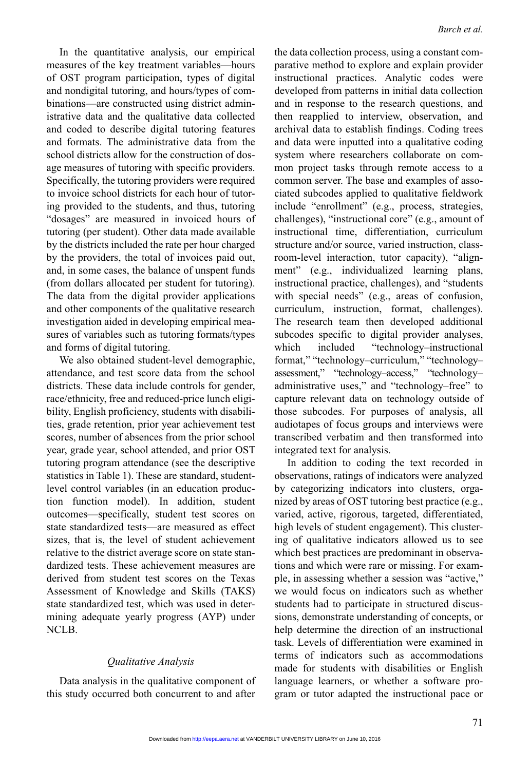*Burch et al.*

In the quantitative analysis, our empirical measures of the key treatment variables—hours of OST program participation, types of digital and nondigital tutoring, and hours/types of combinations—are constructed using district administrative data and the qualitative data collected and coded to describe digital tutoring features and formats. The administrative data from the school districts allow for the construction of dosage measures of tutoring with specific providers. Specifically, the tutoring providers were required to invoice school districts for each hour of tutoring provided to the students, and thus, tutoring "dosages" are measured in invoiced hours of tutoring (per student). Other data made available by the districts included the rate per hour charged by the providers, the total of invoices paid out, and, in some cases, the balance of unspent funds (from dollars allocated per student for tutoring). The data from the digital provider applications and other components of the qualitative research investigation aided in developing empirical measures of variables such as tutoring formats/types and forms of digital tutoring.

We also obtained student-level demographic, attendance, and test score data from the school districts. These data include controls for gender, race/ethnicity, free and reduced-price lunch eligibility, English proficiency, students with disabilities, grade retention, prior year achievement test scores, number of absences from the prior school year, grade year, school attended, and prior OST tutoring program attendance (see the descriptive statistics in Table 1). These are standard, studentlevel control variables (in an education production function model). In addition, student outcomes—specifically, student test scores on state standardized tests—are measured as effect sizes, that is, the level of student achievement relative to the district average score on state standardized tests. These achievement measures are derived from student test scores on the Texas Assessment of Knowledge and Skills (TAKS) state standardized test, which was used in determining adequate yearly progress (AYP) under NCLB.

## *Qualitative Analysis*

Data analysis in the qualitative component of this study occurred both concurrent to and after

the data collection process, using a constant comparative method to explore and explain provider instructional practices. Analytic codes were developed from patterns in initial data collection and in response to the research questions, and then reapplied to interview, observation, and archival data to establish findings. Coding trees and data were inputted into a qualitative coding system where researchers collaborate on common project tasks through remote access to a common server. The base and examples of associated subcodes applied to qualitative fieldwork include "enrollment" (e.g., process, strategies, challenges), "instructional core" (e.g., amount of instructional time, differentiation, curriculum structure and/or source, varied instruction, classroom-level interaction, tutor capacity), "alignment" (e.g., individualized learning plans, instructional practice, challenges), and "students with special needs" (e.g., areas of confusion, curriculum, instruction, format, challenges). The research team then developed additional subcodes specific to digital provider analyses, which included "technology–instructional format," "technology–curriculum," "technology– assessment," "technology–access," "technology– administrative uses," and "technology–free" to capture relevant data on technology outside of those subcodes. For purposes of analysis, all audiotapes of focus groups and interviews were transcribed verbatim and then transformed into integrated text for analysis.

In addition to coding the text recorded in observations, ratings of indicators were analyzed by categorizing indicators into clusters, organized by areas of OST tutoring best practice (e.g., varied, active, rigorous, targeted, differentiated, high levels of student engagement). This clustering of qualitative indicators allowed us to see which best practices are predominant in observations and which were rare or missing. For example, in assessing whether a session was "active," we would focus on indicators such as whether students had to participate in structured discussions, demonstrate understanding of concepts, or help determine the direction of an instructional task. Levels of differentiation were examined in terms of indicators such as accommodations made for students with disabilities or English language learners, or whether a software program or tutor adapted the instructional pace or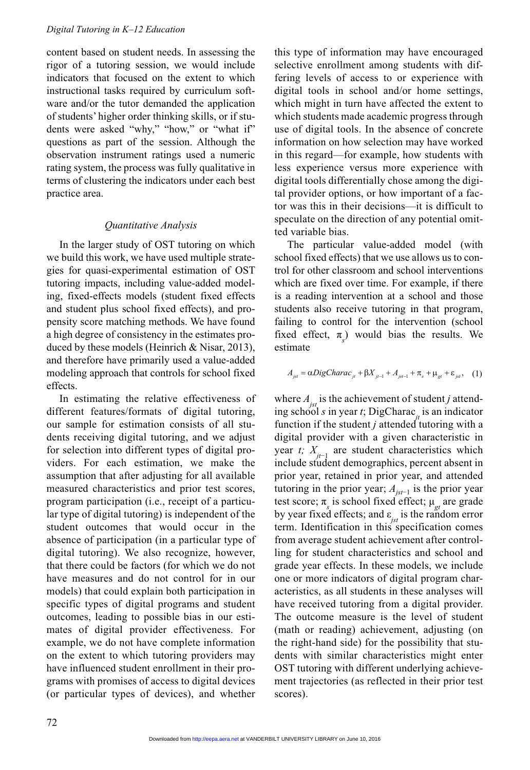## *Digital Tutoring in K–12 Education*

content based on student needs. In assessing the rigor of a tutoring session, we would include indicators that focused on the extent to which instructional tasks required by curriculum software and/or the tutor demanded the application of students' higher order thinking skills, or if students were asked "why," "how," or "what if" questions as part of the session. Although the observation instrument ratings used a numeric rating system, the process was fully qualitative in terms of clustering the indicators under each best practice area.

### *Quantitative Analysis*

In the larger study of OST tutoring on which we build this work, we have used multiple strategies for quasi-experimental estimation of OST tutoring impacts, including value-added modeling, fixed-effects models (student fixed effects and student plus school fixed effects), and propensity score matching methods. We have found a high degree of consistency in the estimates produced by these models (Heinrich & Nisar, 2013), and therefore have primarily used a value-added modeling approach that controls for school fixed effects.

In estimating the relative effectiveness of different features/formats of digital tutoring, our sample for estimation consists of all students receiving digital tutoring, and we adjust for selection into different types of digital providers. For each estimation, we make the assumption that after adjusting for all available measured characteristics and prior test scores, program participation (i.e., receipt of a particular type of digital tutoring) is independent of the student outcomes that would occur in the absence of participation (in a particular type of digital tutoring). We also recognize, however, that there could be factors (for which we do not have measures and do not control for in our models) that could explain both participation in specific types of digital programs and student outcomes, leading to possible bias in our estimates of digital provider effectiveness. For example, we do not have complete information on the extent to which tutoring providers may have influenced student enrollment in their programs with promises of access to digital devices (or particular types of devices), and whether

this type of information may have encouraged selective enrollment among students with differing levels of access to or experience with digital tools in school and/or home settings, which might in turn have affected the extent to which students made academic progress through use of digital tools. In the absence of concrete information on how selection may have worked in this regard—for example, how students with less experience versus more experience with digital tools differentially chose among the digital provider options, or how important of a factor was this in their decisions—it is difficult to speculate on the direction of any potential omitted variable bias.

The particular value-added model (with school fixed effects) that we use allows us to control for other classroom and school interventions which are fixed over time. For example, if there is a reading intervention at a school and those students also receive tutoring in that program, failing to control for the intervention (school fixed effect,  $\pi$ <sub>s</sub> would bias the results. We estimate

$$
A_{jst} = \alpha DigCharac_{jt} + \beta X_{jt-1} + A_{jst-1} + \pi_s + \mu_{gt} + \varepsilon_{jst}, \quad (1)
$$

where  $A_{jst}$  is the achievement of student *j* attending school *s* in year *t*; DigCharac*jt* is an indicator function if the student *j* attended tutoring with a digital provider with a given characteristic in year *t;*  $X_{t-1}$  are student characteristics which include student demographics, percent absent in prior year, retained in prior year, and attended tutoring in the prior year; *Ajst*−1 is the prior year test score;  $\pi$ <sub>s</sub> is school fixed effect;  $\mu$ <sub>gt</sub> are grade by year fixed effects; and  $\varepsilon$ <sub>*jst*</sub> is the random error term. Identification in this specification comes from average student achievement after controlling for student characteristics and school and grade year effects. In these models, we include one or more indicators of digital program characteristics, as all students in these analyses will have received tutoring from a digital provider. The outcome measure is the level of student (math or reading) achievement, adjusting (on the right-hand side) for the possibility that students with similar characteristics might enter OST tutoring with different underlying achievement trajectories (as reflected in their prior test scores).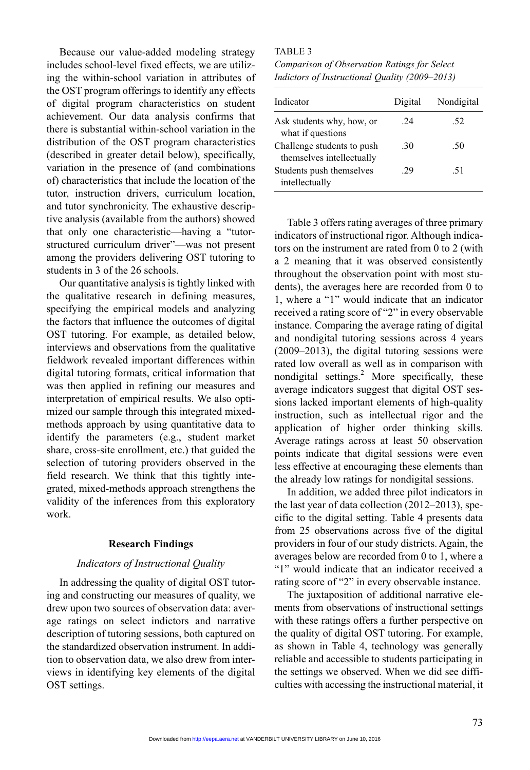Because our value-added modeling strategy includes school-level fixed effects, we are utilizing the within-school variation in attributes of the OST program offerings to identify any effects of digital program characteristics on student achievement. Our data analysis confirms that there is substantial within-school variation in the distribution of the OST program characteristics (described in greater detail below), specifically, variation in the presence of (and combinations of) characteristics that include the location of the tutor, instruction drivers, curriculum location, and tutor synchronicity. The exhaustive descriptive analysis (available from the authors) showed that only one characteristic—having a "tutorstructured curriculum driver"—was not present among the providers delivering OST tutoring to students in 3 of the 26 schools.

Our quantitative analysis is tightly linked with the qualitative research in defining measures, specifying the empirical models and analyzing the factors that influence the outcomes of digital OST tutoring. For example, as detailed below, interviews and observations from the qualitative fieldwork revealed important differences within digital tutoring formats, critical information that was then applied in refining our measures and interpretation of empirical results. We also optimized our sample through this integrated mixedmethods approach by using quantitative data to identify the parameters (e.g., student market share, cross-site enrollment, etc.) that guided the selection of tutoring providers observed in the field research. We think that this tightly integrated, mixed-methods approach strengthens the validity of the inferences from this exploratory work.

## **Research Findings**

# *Indicators of Instructional Quality*

In addressing the quality of digital OST tutoring and constructing our measures of quality, we drew upon two sources of observation data: average ratings on select indictors and narrative description of tutoring sessions, both captured on the standardized observation instrument. In addition to observation data, we also drew from interviews in identifying key elements of the digital OST settings.

#### TABLE<sub>3</sub>

*Comparison of Observation Ratings for Select Indictors of Instructional Quality (2009–2013)*

| Indicator                                               | Digital | Nondigital |
|---------------------------------------------------------|---------|------------|
| Ask students why, how, or<br>what if questions          | -24     | .52        |
| Challenge students to push<br>themselves intellectually | .30     | .50        |
| Students push themselves<br>intellectually              | -29     | .51        |

Table 3 offers rating averages of three primary indicators of instructional rigor. Although indicators on the instrument are rated from 0 to 2 (with a 2 meaning that it was observed consistently throughout the observation point with most students), the averages here are recorded from 0 to 1, where a "1" would indicate that an indicator received a rating score of "2" in every observable instance. Comparing the average rating of digital and nondigital tutoring sessions across 4 years (2009–2013), the digital tutoring sessions were rated low overall as well as in comparison with nondigital settings.<sup>2</sup> More specifically, these average indicators suggest that digital OST sessions lacked important elements of high-quality instruction, such as intellectual rigor and the application of higher order thinking skills. Average ratings across at least 50 observation points indicate that digital sessions were even less effective at encouraging these elements than the already low ratings for nondigital sessions.

In addition, we added three pilot indicators in the last year of data collection (2012–2013), specific to the digital setting. Table 4 presents data from 25 observations across five of the digital providers in four of our study districts. Again, the averages below are recorded from 0 to 1, where a "1" would indicate that an indicator received a rating score of "2" in every observable instance.

The juxtaposition of additional narrative elements from observations of instructional settings with these ratings offers a further perspective on the quality of digital OST tutoring. For example, as shown in Table 4, technology was generally reliable and accessible to students participating in the settings we observed. When we did see difficulties with accessing the instructional material, it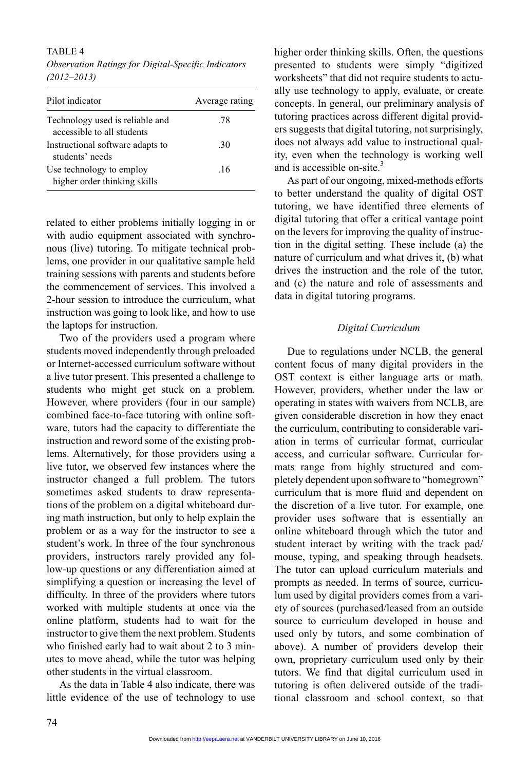### TABLE<sub>4</sub>

*Observation Ratings for Digital-Specific Indicators (2012–2013)*

| Pilot indicator                                               | Average rating |
|---------------------------------------------------------------|----------------|
| Technology used is reliable and<br>accessible to all students | .78            |
| Instructional software adapts to<br>students' needs           | -30            |
| Use technology to employ<br>higher order thinking skills      | .16            |

related to either problems initially logging in or with audio equipment associated with synchronous (live) tutoring. To mitigate technical problems, one provider in our qualitative sample held training sessions with parents and students before the commencement of services. This involved a 2-hour session to introduce the curriculum, what instruction was going to look like, and how to use the laptops for instruction.

Two of the providers used a program where students moved independently through preloaded or Internet-accessed curriculum software without a live tutor present. This presented a challenge to students who might get stuck on a problem. However, where providers (four in our sample) combined face-to-face tutoring with online software, tutors had the capacity to differentiate the instruction and reword some of the existing problems. Alternatively, for those providers using a live tutor, we observed few instances where the instructor changed a full problem. The tutors sometimes asked students to draw representations of the problem on a digital whiteboard during math instruction, but only to help explain the problem or as a way for the instructor to see a student's work. In three of the four synchronous providers, instructors rarely provided any follow-up questions or any differentiation aimed at simplifying a question or increasing the level of difficulty. In three of the providers where tutors worked with multiple students at once via the online platform, students had to wait for the instructor to give them the next problem. Students who finished early had to wait about 2 to 3 minutes to move ahead, while the tutor was helping other students in the virtual classroom.

As the data in Table 4 also indicate, there was little evidence of the use of technology to use higher order thinking skills. Often, the questions presented to students were simply "digitized worksheets" that did not require students to actually use technology to apply, evaluate, or create concepts. In general, our preliminary analysis of tutoring practices across different digital providers suggests that digital tutoring, not surprisingly, does not always add value to instructional quality, even when the technology is working well and is accessible on-site.3

As part of our ongoing, mixed-methods efforts to better understand the quality of digital OST tutoring, we have identified three elements of digital tutoring that offer a critical vantage point on the levers for improving the quality of instruction in the digital setting. These include (a) the nature of curriculum and what drives it, (b) what drives the instruction and the role of the tutor, and (c) the nature and role of assessments and data in digital tutoring programs.

# *Digital Curriculum*

Due to regulations under NCLB, the general content focus of many digital providers in the OST context is either language arts or math. However, providers, whether under the law or operating in states with waivers from NCLB, are given considerable discretion in how they enact the curriculum, contributing to considerable variation in terms of curricular format, curricular access, and curricular software. Curricular formats range from highly structured and completely dependent upon software to "homegrown" curriculum that is more fluid and dependent on the discretion of a live tutor. For example, one provider uses software that is essentially an online whiteboard through which the tutor and student interact by writing with the track pad/ mouse, typing, and speaking through headsets. The tutor can upload curriculum materials and prompts as needed. In terms of source, curriculum used by digital providers comes from a variety of sources (purchased/leased from an outside source to curriculum developed in house and used only by tutors, and some combination of above). A number of providers develop their own, proprietary curriculum used only by their tutors. We find that digital curriculum used in tutoring is often delivered outside of the traditional classroom and school context, so that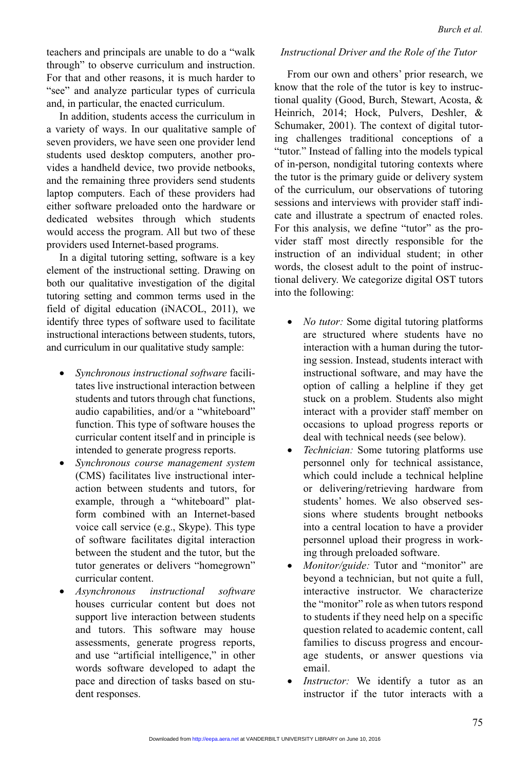teachers and principals are unable to do a "walk through" to observe curriculum and instruction. For that and other reasons, it is much harder to "see" and analyze particular types of curricula and, in particular, the enacted curriculum.

In addition, students access the curriculum in a variety of ways. In our qualitative sample of seven providers, we have seen one provider lend students used desktop computers, another provides a handheld device, two provide netbooks, and the remaining three providers send students laptop computers. Each of these providers had either software preloaded onto the hardware or dedicated websites through which students would access the program. All but two of these providers used Internet-based programs.

In a digital tutoring setting, software is a key element of the instructional setting. Drawing on both our qualitative investigation of the digital tutoring setting and common terms used in the field of digital education (iNACOL, 2011), we identify three types of software used to facilitate instructional interactions between students, tutors, and curriculum in our qualitative study sample:

- •• *Synchronous instructional software* facilitates live instructional interaction between students and tutors through chat functions, audio capabilities, and/or a "whiteboard" function. This type of software houses the curricular content itself and in principle is intended to generate progress reports.
- •• *Synchronous course management system* (CMS) facilitates live instructional interaction between students and tutors, for example, through a "whiteboard" platform combined with an Internet-based voice call service (e.g., Skype). This type of software facilitates digital interaction between the student and the tutor, but the tutor generates or delivers "homegrown" curricular content.
- •• *Asynchronous instructional software* houses curricular content but does not support live interaction between students and tutors. This software may house assessments, generate progress reports, and use "artificial intelligence," in other words software developed to adapt the pace and direction of tasks based on student responses.

# *Instructional Driver and the Role of the Tutor*

From our own and others' prior research, we know that the role of the tutor is key to instructional quality (Good, Burch, Stewart, Acosta, & Heinrich, 2014; Hock, Pulvers, Deshler, & Schumaker, 2001). The context of digital tutoring challenges traditional conceptions of a "tutor." Instead of falling into the models typical of in-person, nondigital tutoring contexts where the tutor is the primary guide or delivery system of the curriculum, our observations of tutoring sessions and interviews with provider staff indicate and illustrate a spectrum of enacted roles. For this analysis, we define "tutor" as the provider staff most directly responsible for the instruction of an individual student; in other words, the closest adult to the point of instructional delivery. We categorize digital OST tutors into the following:

- •• *No tutor:* Some digital tutoring platforms are structured where students have no interaction with a human during the tutoring session. Instead, students interact with instructional software, and may have the option of calling a helpline if they get stuck on a problem. Students also might interact with a provider staff member on occasions to upload progress reports or deal with technical needs (see below).
- *Technician:* Some tutoring platforms use personnel only for technical assistance, which could include a technical helpline or delivering/retrieving hardware from students' homes. We also observed sessions where students brought netbooks into a central location to have a provider personnel upload their progress in working through preloaded software.
- *Monitor/guide:* Tutor and "monitor" are beyond a technician, but not quite a full, interactive instructor. We characterize the "monitor" role as when tutors respond to students if they need help on a specific question related to academic content, call families to discuss progress and encourage students, or answer questions via email.
- Instructor: We identify a tutor as an instructor if the tutor interacts with a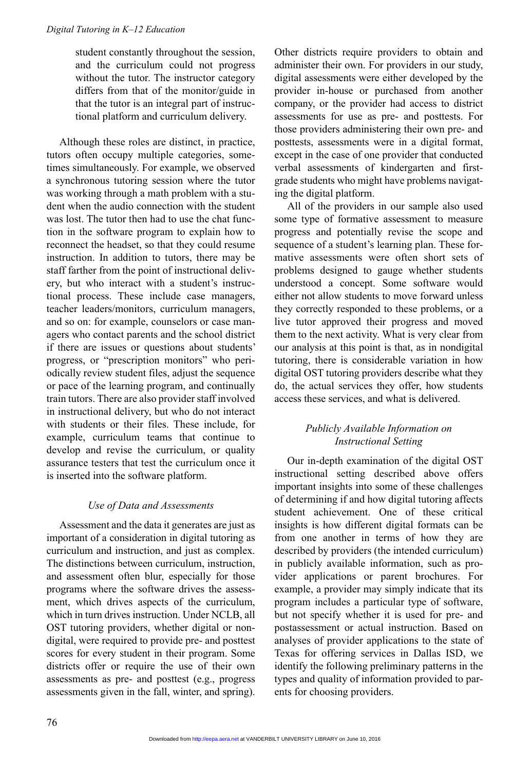student constantly throughout the session, and the curriculum could not progress without the tutor. The instructor category differs from that of the monitor/guide in that the tutor is an integral part of instructional platform and curriculum delivery.

Although these roles are distinct, in practice, tutors often occupy multiple categories, sometimes simultaneously. For example, we observed a synchronous tutoring session where the tutor was working through a math problem with a student when the audio connection with the student was lost. The tutor then had to use the chat function in the software program to explain how to reconnect the headset, so that they could resume instruction. In addition to tutors, there may be staff farther from the point of instructional delivery, but who interact with a student's instructional process. These include case managers, teacher leaders/monitors, curriculum managers, and so on: for example, counselors or case managers who contact parents and the school district if there are issues or questions about students' progress, or "prescription monitors" who periodically review student files, adjust the sequence or pace of the learning program, and continually train tutors. There are also provider staff involved in instructional delivery, but who do not interact with students or their files. These include, for example, curriculum teams that continue to develop and revise the curriculum, or quality assurance testers that test the curriculum once it is inserted into the software platform.

# *Use of Data and Assessments*

Assessment and the data it generates are just as important of a consideration in digital tutoring as curriculum and instruction, and just as complex. The distinctions between curriculum, instruction, and assessment often blur, especially for those programs where the software drives the assessment, which drives aspects of the curriculum, which in turn drives instruction. Under NCLB, all OST tutoring providers, whether digital or nondigital, were required to provide pre- and posttest scores for every student in their program. Some districts offer or require the use of their own assessments as pre- and posttest (e.g., progress assessments given in the fall, winter, and spring).

Other districts require providers to obtain and administer their own. For providers in our study, digital assessments were either developed by the provider in-house or purchased from another company, or the provider had access to district assessments for use as pre- and posttests. For those providers administering their own pre- and posttests, assessments were in a digital format, except in the case of one provider that conducted verbal assessments of kindergarten and firstgrade students who might have problems navigating the digital platform.

All of the providers in our sample also used some type of formative assessment to measure progress and potentially revise the scope and sequence of a student's learning plan. These formative assessments were often short sets of problems designed to gauge whether students understood a concept. Some software would either not allow students to move forward unless they correctly responded to these problems, or a live tutor approved their progress and moved them to the next activity. What is very clear from our analysis at this point is that, as in nondigital tutoring, there is considerable variation in how digital OST tutoring providers describe what they do, the actual services they offer, how students access these services, and what is delivered.

# *Publicly Available Information on Instructional Setting*

Our in-depth examination of the digital OST instructional setting described above offers important insights into some of these challenges of determining if and how digital tutoring affects student achievement. One of these critical insights is how different digital formats can be from one another in terms of how they are described by providers (the intended curriculum) in publicly available information, such as provider applications or parent brochures. For example, a provider may simply indicate that its program includes a particular type of software, but not specify whether it is used for pre- and postassessment or actual instruction. Based on analyses of provider applications to the state of Texas for offering services in Dallas ISD, we identify the following preliminary patterns in the types and quality of information provided to parents for choosing providers.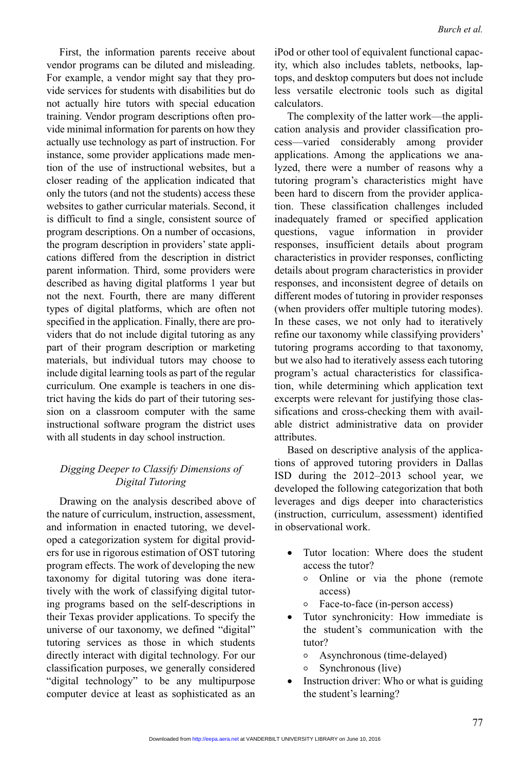First, the information parents receive about vendor programs can be diluted and misleading. For example, a vendor might say that they provide services for students with disabilities but do not actually hire tutors with special education training. Vendor program descriptions often provide minimal information for parents on how they actually use technology as part of instruction. For instance, some provider applications made mention of the use of instructional websites, but a closer reading of the application indicated that only the tutors (and not the students) access these websites to gather curricular materials. Second, it is difficult to find a single, consistent source of program descriptions. On a number of occasions, the program description in providers' state applications differed from the description in district parent information. Third, some providers were described as having digital platforms 1 year but not the next. Fourth, there are many different types of digital platforms, which are often not specified in the application. Finally, there are providers that do not include digital tutoring as any part of their program description or marketing materials, but individual tutors may choose to include digital learning tools as part of the regular curriculum. One example is teachers in one district having the kids do part of their tutoring session on a classroom computer with the same instructional software program the district uses with all students in day school instruction.

# *Digging Deeper to Classify Dimensions of Digital Tutoring*

Drawing on the analysis described above of the nature of curriculum, instruction, assessment, and information in enacted tutoring, we developed a categorization system for digital providers for use in rigorous estimation of OST tutoring program effects. The work of developing the new taxonomy for digital tutoring was done iteratively with the work of classifying digital tutoring programs based on the self-descriptions in their Texas provider applications. To specify the universe of our taxonomy, we defined "digital" tutoring services as those in which students directly interact with digital technology. For our classification purposes, we generally considered "digital technology" to be any multipurpose computer device at least as sophisticated as an

iPod or other tool of equivalent functional capacity, which also includes tablets, netbooks, laptops, and desktop computers but does not include less versatile electronic tools such as digital calculators.

The complexity of the latter work—the application analysis and provider classification process—varied considerably among provider applications. Among the applications we analyzed, there were a number of reasons why a tutoring program's characteristics might have been hard to discern from the provider application. These classification challenges included inadequately framed or specified application questions, vague information in provider responses, insufficient details about program characteristics in provider responses, conflicting details about program characteristics in provider responses, and inconsistent degree of details on different modes of tutoring in provider responses (when providers offer multiple tutoring modes). In these cases, we not only had to iteratively refine our taxonomy while classifying providers' tutoring programs according to that taxonomy, but we also had to iteratively assess each tutoring program's actual characteristics for classification, while determining which application text excerpts were relevant for justifying those classifications and cross-checking them with available district administrative data on provider attributes.

Based on descriptive analysis of the applications of approved tutoring providers in Dallas ISD during the 2012–2013 school year, we developed the following categorization that both leverages and digs deeper into characteristics (instruction, curriculum, assessment) identified in observational work.

- Tutor location: Where does the student access the tutor?
	- || Online or via the phone (remote access)
	- Face-to-face (in-person access)
- •• Tutor synchronicity: How immediate is the student's communication with the tutor?
	- || Asynchronous (time-delayed)
	- $\circ$  Synchronous (live)
- Instruction driver: Who or what is guiding the student's learning?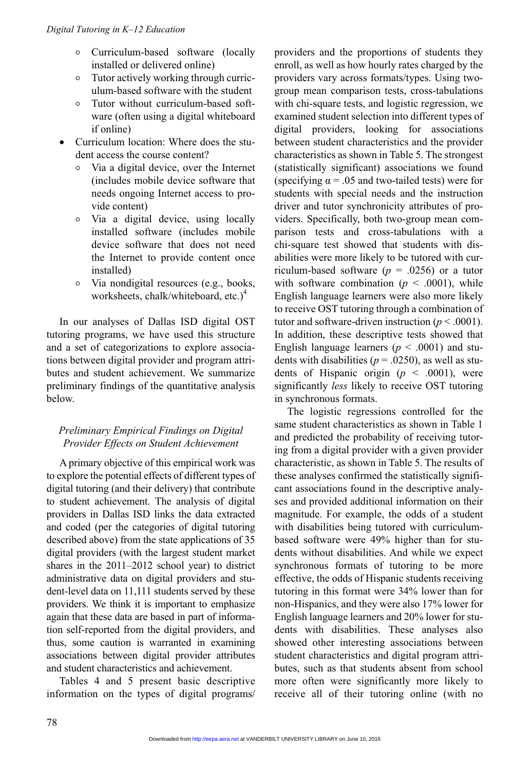- || Curriculum-based software (locally installed or delivered online)
- || Tutor actively working through curriculum-based software with the student
- || Tutor without curriculum-based software (often using a digital whiteboard if online)
- •• Curriculum location: Where does the student access the course content?
	- || Via a digital device, over the Internet (includes mobile device software that needs ongoing Internet access to provide content)
	- || Via a digital device, using locally installed software (includes mobile device software that does not need the Internet to provide content once installed)
	- || Via nondigital resources (e.g., books, worksheets, chalk/whiteboard, etc.)<sup>4</sup>

In our analyses of Dallas ISD digital OST tutoring programs, we have used this structure and a set of categorizations to explore associations between digital provider and program attributes and student achievement. We summarize preliminary findings of the quantitative analysis below.

# *Preliminary Empirical Findings on Digital Provider Effects on Student Achievement*

A primary objective of this empirical work was to explore the potential effects of different types of digital tutoring (and their delivery) that contribute to student achievement. The analysis of digital providers in Dallas ISD links the data extracted and coded (per the categories of digital tutoring described above) from the state applications of 35 digital providers (with the largest student market shares in the 2011–2012 school year) to district administrative data on digital providers and student-level data on 11,111 students served by these providers. We think it is important to emphasize again that these data are based in part of information self-reported from the digital providers, and thus, some caution is warranted in examining associations between digital provider attributes and student characteristics and achievement.

Tables 4 and 5 present basic descriptive information on the types of digital programs/

providers and the proportions of students they enroll, as well as how hourly rates charged by the providers vary across formats/types. Using twogroup mean comparison tests, cross-tabulations with chi-square tests, and logistic regression, we examined student selection into different types of digital providers, looking for associations between student characteristics and the provider characteristics as shown in Table 5. The strongest (statistically significant) associations we found (specifying  $\alpha$  = .05 and two-tailed tests) were for students with special needs and the instruction driver and tutor synchronicity attributes of providers. Specifically, both two-group mean comparison tests and cross-tabulations with a chi-square test showed that students with disabilities were more likely to be tutored with curriculum-based software  $(p = .0256)$  or a tutor with software combination ( $p < .0001$ ), while English language learners were also more likely to receive OST tutoring through a combination of tutor and software-driven instruction ( $p < .0001$ ). In addition, these descriptive tests showed that English language learners ( $p < .0001$ ) and students with disabilities ( $p = .0250$ ), as well as students of Hispanic origin (*p* < .0001), were significantly *less* likely to receive OST tutoring in synchronous formats.

The logistic regressions controlled for the same student characteristics as shown in Table 1 and predicted the probability of receiving tutoring from a digital provider with a given provider characteristic, as shown in Table 5. The results of these analyses confirmed the statistically significant associations found in the descriptive analyses and provided additional information on their magnitude. For example, the odds of a student with disabilities being tutored with curriculumbased software were 49% higher than for students without disabilities. And while we expect synchronous formats of tutoring to be more effective, the odds of Hispanic students receiving tutoring in this format were 34% lower than for non-Hispanics, and they were also 17% lower for English language learners and 20% lower for students with disabilities. These analyses also showed other interesting associations between student characteristics and digital program attributes, such as that students absent from school more often were significantly more likely to receive all of their tutoring online (with no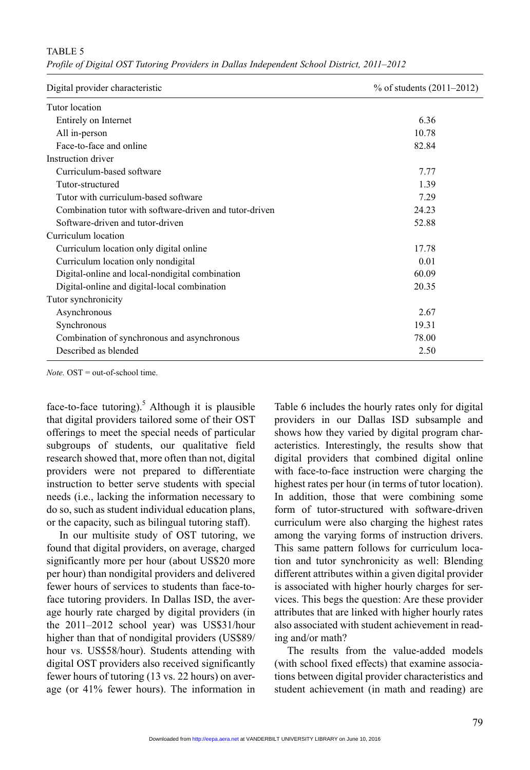|  |  |  | Profile of Digital OST Tutoring Providers in Dallas Independent School District, 2011-2012 |  |
|--|--|--|--------------------------------------------------------------------------------------------|--|
|  |  |  |                                                                                            |  |

| Digital provider characteristic                         | $\%$ of students (2011–2012) |
|---------------------------------------------------------|------------------------------|
| Tutor location                                          |                              |
| Entirely on Internet                                    | 6.36                         |
| All in-person                                           | 10.78                        |
| Face-to-face and online                                 | 82.84                        |
| Instruction driver                                      |                              |
| Curriculum-based software                               | 7.77                         |
| Tutor-structured                                        | 1.39                         |
| Tutor with curriculum-based software                    | 7.29                         |
| Combination tutor with software-driven and tutor-driven | 24.23                        |
| Software-driven and tutor-driven                        | 52.88                        |
| Curriculum location                                     |                              |
| Curriculum location only digital online                 | 17.78                        |
| Curriculum location only nondigital                     | 0.01                         |
| Digital-online and local-nondigital combination         | 60.09                        |
| Digital-online and digital-local combination            | 20.35                        |
| Tutor synchronicity                                     |                              |
| Asynchronous                                            | 2.67                         |
| Synchronous                                             | 19.31                        |
| Combination of synchronous and asynchronous             | 78.00                        |
| Described as blended                                    | 2.50                         |

*Note.* OST = out-of-school time.

face-to-face tutoring).<sup>5</sup> Although it is plausible that digital providers tailored some of their OST offerings to meet the special needs of particular subgroups of students, our qualitative field research showed that, more often than not, digital providers were not prepared to differentiate instruction to better serve students with special needs (i.e., lacking the information necessary to do so, such as student individual education plans, or the capacity, such as bilingual tutoring staff).

In our multisite study of OST tutoring, we found that digital providers, on average, charged significantly more per hour (about US\$20 more per hour) than nondigital providers and delivered fewer hours of services to students than face-toface tutoring providers. In Dallas ISD, the average hourly rate charged by digital providers (in the 2011–2012 school year) was US\$31/hour higher than that of nondigital providers (US\$89/ hour vs. US\$58/hour). Students attending with digital OST providers also received significantly fewer hours of tutoring (13 vs. 22 hours) on average (or 41% fewer hours). The information in

Table 6 includes the hourly rates only for digital providers in our Dallas ISD subsample and shows how they varied by digital program characteristics. Interestingly, the results show that digital providers that combined digital online with face-to-face instruction were charging the highest rates per hour (in terms of tutor location). In addition, those that were combining some form of tutor-structured with software-driven curriculum were also charging the highest rates among the varying forms of instruction drivers. This same pattern follows for curriculum location and tutor synchronicity as well: Blending different attributes within a given digital provider is associated with higher hourly charges for services. This begs the question: Are these provider attributes that are linked with higher hourly rates also associated with student achievement in reading and/or math?

The results from the value-added models (with school fixed effects) that examine associations between digital provider characteristics and student achievement (in math and reading) are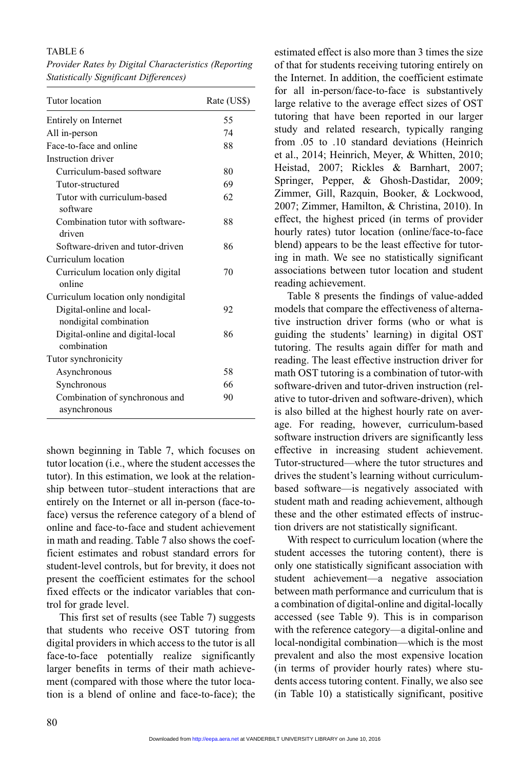*Provider Rates by Digital Characteristics (Reporting Statistically Significant Differences)*

| Tutor location                                      | Rate (US\$) |
|-----------------------------------------------------|-------------|
| Entirely on Internet                                | 55          |
| All in-person                                       | 74          |
| Face-to-face and online                             | 88          |
| Instruction driver                                  |             |
| Curriculum-based software                           | 80          |
| Tutor-structured                                    | 69          |
| Tutor with curriculum-based<br>software             | 62          |
| Combination tutor with software-<br>driven          | 88          |
| Software-driven and tutor-driven                    | 86          |
| Curriculum location                                 |             |
| Curriculum location only digital<br>online          | 70          |
| Curriculum location only nondigital                 |             |
| Digital-online and local-<br>nondigital combination | 92          |
| Digital-online and digital-local<br>combination     | 86          |
| Tutor synchronicity                                 |             |
| Asynchronous                                        | 58          |
| Synchronous                                         | 66          |
| Combination of synchronous and<br>asynchronous      | 90          |

shown beginning in Table 7, which focuses on tutor location (i.e., where the student accesses the tutor). In this estimation, we look at the relationship between tutor–student interactions that are entirely on the Internet or all in-person (face-toface) versus the reference category of a blend of online and face-to-face and student achievement in math and reading. Table 7 also shows the coefficient estimates and robust standard errors for student-level controls, but for brevity, it does not present the coefficient estimates for the school fixed effects or the indicator variables that control for grade level.

This first set of results (see Table 7) suggests that students who receive OST tutoring from digital providers in which access to the tutor is all face-to-face potentially realize significantly larger benefits in terms of their math achievement (compared with those where the tutor location is a blend of online and face-to-face); the

estimated effect is also more than 3 times the size of that for students receiving tutoring entirely on the Internet. In addition, the coefficient estimate for all in-person/face-to-face is substantively large relative to the average effect sizes of OST tutoring that have been reported in our larger study and related research, typically ranging from .05 to .10 standard deviations (Heinrich et al., 2014; Heinrich, Meyer, & Whitten, 2010; Heistad, 2007; Rickles & Barnhart, 2007; Springer, Pepper, & Ghosh-Dastidar, 2009; Zimmer, Gill, Razquin, Booker, & Lockwood, 2007; Zimmer, Hamilton, & Christina, 2010). In effect, the highest priced (in terms of provider hourly rates) tutor location (online/face-to-face blend) appears to be the least effective for tutoring in math. We see no statistically significant associations between tutor location and student reading achievement.

Table 8 presents the findings of value-added models that compare the effectiveness of alternative instruction driver forms (who or what is guiding the students' learning) in digital OST tutoring. The results again differ for math and reading. The least effective instruction driver for math OST tutoring is a combination of tutor-with software-driven and tutor-driven instruction (relative to tutor-driven and software-driven), which is also billed at the highest hourly rate on average. For reading, however, curriculum-based software instruction drivers are significantly less effective in increasing student achievement. Tutor-structured—where the tutor structures and drives the student's learning without curriculumbased software—is negatively associated with student math and reading achievement, although these and the other estimated effects of instruction drivers are not statistically significant.

With respect to curriculum location (where the student accesses the tutoring content), there is only one statistically significant association with student achievement—a negative association between math performance and curriculum that is a combination of digital-online and digital-locally accessed (see Table 9). This is in comparison with the reference category—a digital-online and local-nondigital combination—which is the most prevalent and also the most expensive location (in terms of provider hourly rates) where students access tutoring content. Finally, we also see (in Table 10) a statistically significant, positive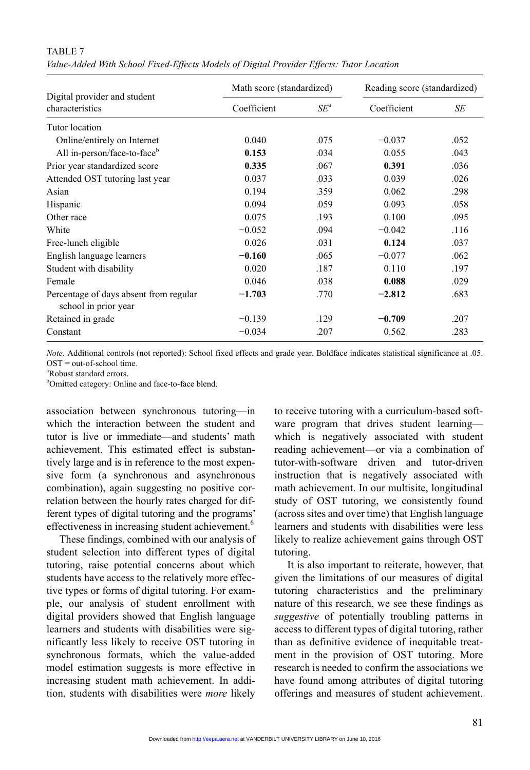| Digital provider and student                                   | Math score (standardized) |        | Reading score (standardized) |      |
|----------------------------------------------------------------|---------------------------|--------|------------------------------|------|
| characteristics                                                | Coefficient               | $SE^a$ | Coefficient                  | SE   |
| Tutor location                                                 |                           |        |                              |      |
| Online/entirely on Internet                                    | 0.040                     | .075   | $-0.037$                     | .052 |
| All in-person/face-to-face <sup>b</sup>                        | 0.153                     | .034   | 0.055                        | .043 |
| Prior year standardized score                                  | 0.335                     | .067   | 0.391                        | .036 |
| Attended OST tutoring last year                                | 0.037                     | .033   | 0.039                        | .026 |
| Asian                                                          | 0.194                     | .359   | 0.062                        | .298 |
| Hispanic                                                       | 0.094                     | .059   | 0.093                        | .058 |
| Other race                                                     | 0.075                     | .193   | 0.100                        | .095 |
| White                                                          | $-0.052$                  | .094   | $-0.042$                     | .116 |
| Free-lunch eligible                                            | 0.026                     | .031   | 0.124                        | .037 |
| English language learners                                      | $-0.160$                  | .065   | $-0.077$                     | .062 |
| Student with disability                                        | 0.020                     | .187   | 0.110                        | .197 |
| Female                                                         | 0.046                     | .038   | 0.088                        | .029 |
| Percentage of days absent from regular<br>school in prior year | $-1.703$                  | .770   | $-2.812$                     | .683 |
| Retained in grade                                              | $-0.139$                  | .129   | $-0.709$                     | .207 |
| Constant                                                       | $-0.034$                  | .207   | 0.562                        | .283 |

*Value-Added With School Fixed-Effects Models of Digital Provider Effects: Tutor Location*

*Note.* Additional controls (not reported): School fixed effects and grade year. Boldface indicates statistical significance at .05. OST = out-of-school time.

a Robust standard errors.

<sup>b</sup>Omitted category: Online and face-to-face blend.

association between synchronous tutoring—in which the interaction between the student and tutor is live or immediate—and students' math achievement. This estimated effect is substantively large and is in reference to the most expensive form (a synchronous and asynchronous combination), again suggesting no positive correlation between the hourly rates charged for different types of digital tutoring and the programs' effectiveness in increasing student achievement.<sup>6</sup>

These findings, combined with our analysis of student selection into different types of digital tutoring, raise potential concerns about which students have access to the relatively more effective types or forms of digital tutoring. For example, our analysis of student enrollment with digital providers showed that English language learners and students with disabilities were significantly less likely to receive OST tutoring in synchronous formats, which the value-added model estimation suggests is more effective in increasing student math achievement. In addition, students with disabilities were *more* likely

to receive tutoring with a curriculum-based software program that drives student learning which is negatively associated with student reading achievement—or via a combination of tutor-with-software driven and tutor-driven instruction that is negatively associated with math achievement. In our multisite, longitudinal study of OST tutoring, we consistently found (across sites and over time) that English language learners and students with disabilities were less likely to realize achievement gains through OST tutoring.

It is also important to reiterate, however, that given the limitations of our measures of digital tutoring characteristics and the preliminary nature of this research, we see these findings as *suggestive* of potentially troubling patterns in access to different types of digital tutoring, rather than as definitive evidence of inequitable treatment in the provision of OST tutoring. More research is needed to confirm the associations we have found among attributes of digital tutoring offerings and measures of student achievement.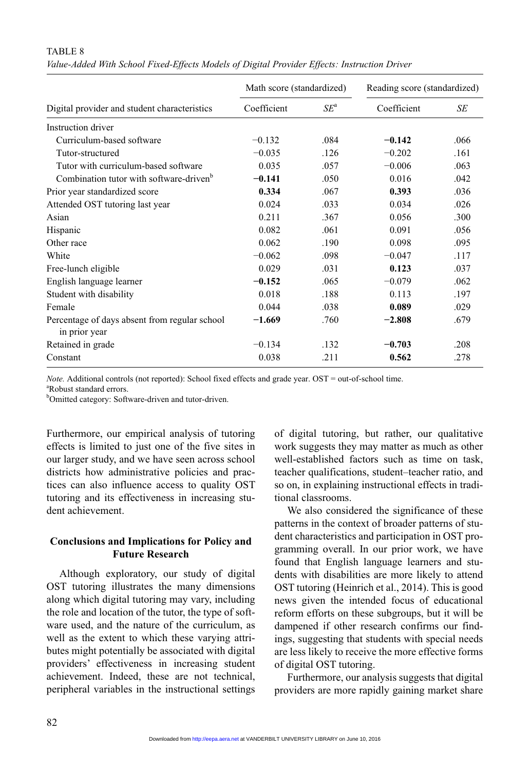|                                                                | Math score (standardized) |        | Reading score (standardized) |      |
|----------------------------------------------------------------|---------------------------|--------|------------------------------|------|
| Digital provider and student characteristics                   | Coefficient               | $SE^a$ | Coefficient                  | SE   |
| Instruction driver                                             |                           |        |                              |      |
| Curriculum-based software                                      | $-0.132$                  | .084   | $-0.142$                     | .066 |
| Tutor-structured                                               | $-0.035$                  | .126   | $-0.202$                     | .161 |
| Tutor with curriculum-based software                           | 0.035                     | .057   | $-0.006$                     | .063 |
| Combination tutor with software-driven <sup>b</sup>            | $-0.141$                  | .050   | 0.016                        | .042 |
| Prior year standardized score                                  | 0.334                     | .067   | 0.393                        | .036 |
| Attended OST tutoring last year                                | 0.024                     | .033   | 0.034                        | .026 |
| Asian                                                          | 0.211                     | .367   | 0.056                        | .300 |
| Hispanic                                                       | 0.082                     | .061   | 0.091                        | .056 |
| Other race                                                     | 0.062                     | .190   | 0.098                        | .095 |
| White                                                          | $-0.062$                  | .098   | $-0.047$                     | .117 |
| Free-lunch eligible                                            | 0.029                     | .031   | 0.123                        | .037 |
| English language learner                                       | $-0.152$                  | .065   | $-0.079$                     | .062 |
| Student with disability                                        | 0.018                     | .188   | 0.113                        | .197 |
| Female                                                         | 0.044                     | .038   | 0.089                        | .029 |
| Percentage of days absent from regular school<br>in prior year | $-1.669$                  | .760   | $-2.808$                     | .679 |
| Retained in grade                                              | $-0.134$                  | .132   | $-0.703$                     | .208 |
| Constant                                                       | 0.038                     | .211   | 0.562                        | .278 |

*Value-Added With School Fixed-Effects Models of Digital Provider Effects: Instruction Driver*

*Note.* Additional controls (not reported): School fixed effects and grade year. OST = out-of-school time.

a Robust standard errors.

<sup>b</sup>Omitted category: Software-driven and tutor-driven.

Furthermore, our empirical analysis of tutoring effects is limited to just one of the five sites in our larger study, and we have seen across school districts how administrative policies and practices can also influence access to quality OST tutoring and its effectiveness in increasing student achievement.

# **Conclusions and Implications for Policy and Future Research**

Although exploratory, our study of digital OST tutoring illustrates the many dimensions along which digital tutoring may vary, including the role and location of the tutor, the type of software used, and the nature of the curriculum, as well as the extent to which these varying attributes might potentially be associated with digital providers' effectiveness in increasing student achievement. Indeed, these are not technical, peripheral variables in the instructional settings of digital tutoring, but rather, our qualitative work suggests they may matter as much as other well-established factors such as time on task, teacher qualifications, student–teacher ratio, and so on, in explaining instructional effects in traditional classrooms.

We also considered the significance of these patterns in the context of broader patterns of student characteristics and participation in OST programming overall. In our prior work, we have found that English language learners and students with disabilities are more likely to attend OST tutoring (Heinrich et al., 2014). This is good news given the intended focus of educational reform efforts on these subgroups, but it will be dampened if other research confirms our findings, suggesting that students with special needs are less likely to receive the more effective forms of digital OST tutoring.

Furthermore, our analysis suggests that digital providers are more rapidly gaining market share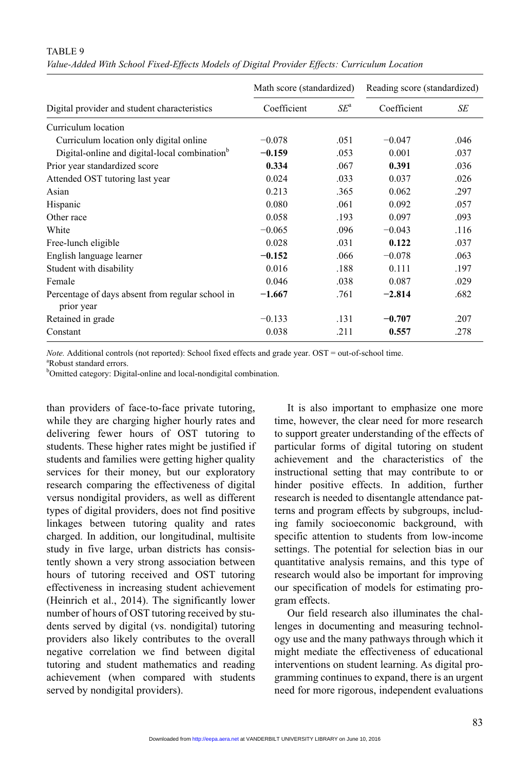|                                                                | Math score (standardized) |        | Reading score (standardized) |      |
|----------------------------------------------------------------|---------------------------|--------|------------------------------|------|
| Digital provider and student characteristics                   | Coefficient               | $SE^a$ | Coefficient                  | SE   |
| Curriculum location                                            |                           |        |                              |      |
| Curriculum location only digital online                        | $-0.078$                  | .051   | $-0.047$                     | .046 |
| Digital-online and digital-local combination <sup>b</sup>      | $-0.159$                  | .053   | 0.001                        | .037 |
| Prior year standardized score                                  | 0.334                     | .067   | 0.391                        | .036 |
| Attended OST tutoring last year                                | 0.024                     | .033   | 0.037                        | .026 |
| Asian                                                          | 0.213                     | .365   | 0.062                        | .297 |
| Hispanic                                                       | 0.080                     | .061   | 0.092                        | .057 |
| Other race                                                     | 0.058                     | .193   | 0.097                        | .093 |
| White                                                          | $-0.065$                  | .096   | $-0.043$                     | .116 |
| Free-lunch eligible                                            | 0.028                     | .031   | 0.122                        | .037 |
| English language learner                                       | $-0.152$                  | .066   | $-0.078$                     | .063 |
| Student with disability                                        | 0.016                     | .188   | 0.111                        | .197 |
| Female                                                         | 0.046                     | .038   | 0.087                        | .029 |
| Percentage of days absent from regular school in<br>prior year | $-1.667$                  | .761   | $-2.814$                     | .682 |
| Retained in grade                                              | $-0.133$                  | .131   | $-0.707$                     | .207 |
| Constant                                                       | 0.038                     | .211   | 0.557                        | .278 |

*Value-Added With School Fixed-Effects Models of Digital Provider Effects: Curriculum Location*

*Note.* Additional controls (not reported): School fixed effects and grade year. OST = out-of-school time.

a Robust standard errors.

<sup>b</sup>Omitted category: Digital-online and local-nondigital combination.

than providers of face-to-face private tutoring, while they are charging higher hourly rates and delivering fewer hours of OST tutoring to students. These higher rates might be justified if students and families were getting higher quality services for their money, but our exploratory research comparing the effectiveness of digital versus nondigital providers, as well as different types of digital providers, does not find positive linkages between tutoring quality and rates charged. In addition, our longitudinal, multisite study in five large, urban districts has consistently shown a very strong association between hours of tutoring received and OST tutoring effectiveness in increasing student achievement (Heinrich et al., 2014). The significantly lower number of hours of OST tutoring received by students served by digital (vs. nondigital) tutoring providers also likely contributes to the overall negative correlation we find between digital tutoring and student mathematics and reading achievement (when compared with students served by nondigital providers).

It is also important to emphasize one more time, however, the clear need for more research to support greater understanding of the effects of particular forms of digital tutoring on student achievement and the characteristics of the instructional setting that may contribute to or hinder positive effects. In addition, further research is needed to disentangle attendance patterns and program effects by subgroups, including family socioeconomic background, with specific attention to students from low-income settings. The potential for selection bias in our quantitative analysis remains, and this type of research would also be important for improving our specification of models for estimating program effects.

Our field research also illuminates the challenges in documenting and measuring technology use and the many pathways through which it might mediate the effectiveness of educational interventions on student learning. As digital programming continues to expand, there is an urgent need for more rigorous, independent evaluations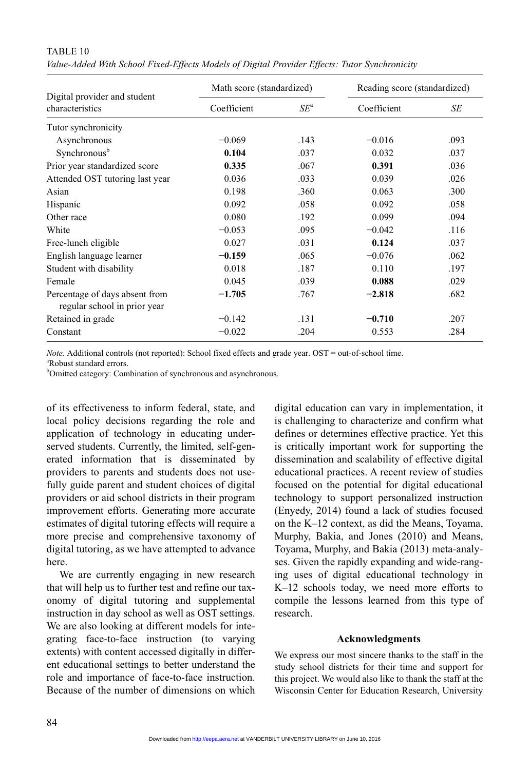|                                                                | Math score (standardized) |        | Reading score (standardized) |      |
|----------------------------------------------------------------|---------------------------|--------|------------------------------|------|
| Digital provider and student<br>characteristics                | Coefficient               | $SE^a$ | Coefficient                  | SE   |
| Tutor synchronicity                                            |                           |        |                              |      |
| Asynchronous                                                   | $-0.069$                  | .143   | $-0.016$                     | .093 |
| Synchronous <sup>b</sup>                                       | 0.104                     | .037   | 0.032                        | .037 |
| Prior year standardized score                                  | 0.335                     | .067   | 0.391                        | .036 |
| Attended OST tutoring last year                                | 0.036                     | .033   | 0.039                        | .026 |
| Asian                                                          | 0.198                     | .360   | 0.063                        | .300 |
| Hispanic                                                       | 0.092                     | .058   | 0.092                        | .058 |
| Other race                                                     | 0.080                     | .192   | 0.099                        | .094 |
| White                                                          | $-0.053$                  | .095   | $-0.042$                     | .116 |
| Free-lunch eligible                                            | 0.027                     | .031   | 0.124                        | .037 |
| English language learner                                       | $-0.159$                  | .065   | $-0.076$                     | .062 |
| Student with disability                                        | 0.018                     | .187   | 0.110                        | .197 |
| Female                                                         | 0.045                     | .039   | 0.088                        | .029 |
| Percentage of days absent from<br>regular school in prior year | $-1.705$                  | .767   | $-2.818$                     | .682 |
| Retained in grade                                              | $-0.142$                  | .131   | $-0.710$                     | .207 |
| Constant                                                       | $-0.022$                  | .204   | 0.553                        | .284 |

TABLE 10 *Value-Added With School Fixed-Effects Models of Digital Provider Effects: Tutor Synchronicity*

*Note.* Additional controls (not reported): School fixed effects and grade year. OST = out-of-school time.

a Robust standard errors.

<sup>b</sup>Omitted category: Combination of synchronous and asynchronous.

of its effectiveness to inform federal, state, and local policy decisions regarding the role and application of technology in educating underserved students. Currently, the limited, self-generated information that is disseminated by providers to parents and students does not usefully guide parent and student choices of digital providers or aid school districts in their program improvement efforts. Generating more accurate estimates of digital tutoring effects will require a more precise and comprehensive taxonomy of digital tutoring, as we have attempted to advance here.

We are currently engaging in new research that will help us to further test and refine our taxonomy of digital tutoring and supplemental instruction in day school as well as OST settings. We are also looking at different models for integrating face-to-face instruction (to varying extents) with content accessed digitally in different educational settings to better understand the role and importance of face-to-face instruction. Because of the number of dimensions on which

digital education can vary in implementation, it is challenging to characterize and confirm what defines or determines effective practice. Yet this is critically important work for supporting the dissemination and scalability of effective digital educational practices. A recent review of studies focused on the potential for digital educational technology to support personalized instruction (Enyedy, 2014) found a lack of studies focused on the K–12 context, as did the Means, Toyama, Murphy, Bakia, and Jones (2010) and Means, Toyama, Murphy, and Bakia (2013) meta-analyses. Given the rapidly expanding and wide-ranging uses of digital educational technology in K–12 schools today, we need more efforts to compile the lessons learned from this type of research.

## **Acknowledgments**

We express our most sincere thanks to the staff in the study school districts for their time and support for this project. We would also like to thank the staff at the Wisconsin Center for Education Research, University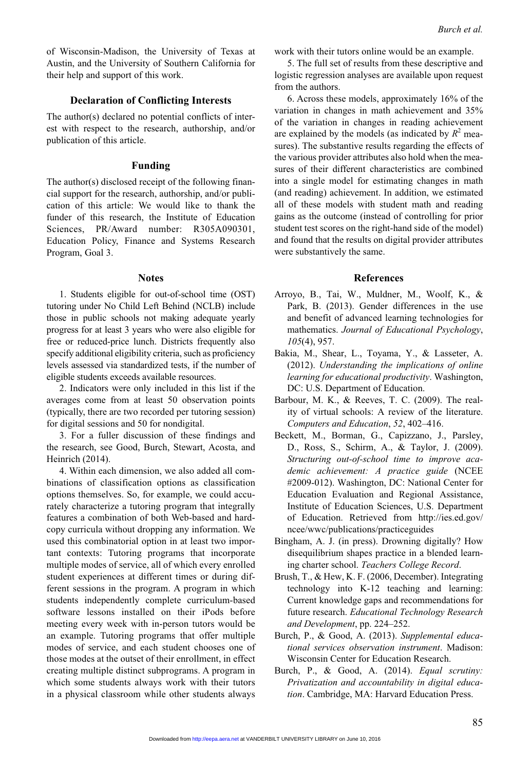of Wisconsin-Madison, the University of Texas at Austin, and the University of Southern California for their help and support of this work.

### **Declaration of Conflicting Interests**

The author(s) declared no potential conflicts of interest with respect to the research, authorship, and/or publication of this article.

### **Funding**

The author(s) disclosed receipt of the following financial support for the research, authorship, and/or publication of this article: We would like to thank the funder of this research, the Institute of Education Sciences, PR/Award number: R305A090301, Education Policy, Finance and Systems Research Program, Goal 3.

### **Notes**

1. Students eligible for out-of-school time (OST) tutoring under No Child Left Behind (NCLB) include those in public schools not making adequate yearly progress for at least 3 years who were also eligible for free or reduced-price lunch. Districts frequently also specify additional eligibility criteria, such as proficiency levels assessed via standardized tests, if the number of eligible students exceeds available resources.

2. Indicators were only included in this list if the averages come from at least 50 observation points (typically, there are two recorded per tutoring session) for digital sessions and 50 for nondigital.

3. For a fuller discussion of these findings and the research, see Good, Burch, Stewart, Acosta, and Heinrich (2014).

4. Within each dimension, we also added all combinations of classification options as classification options themselves. So, for example, we could accurately characterize a tutoring program that integrally features a combination of both Web-based and hardcopy curricula without dropping any information. We used this combinatorial option in at least two important contexts: Tutoring programs that incorporate multiple modes of service, all of which every enrolled student experiences at different times or during different sessions in the program. A program in which students independently complete curriculum-based software lessons installed on their iPods before meeting every week with in-person tutors would be an example. Tutoring programs that offer multiple modes of service, and each student chooses one of those modes at the outset of their enrollment, in effect creating multiple distinct subprograms. A program in which some students always work with their tutors in a physical classroom while other students always

work with their tutors online would be an example.

5. The full set of results from these descriptive and logistic regression analyses are available upon request from the authors.

6. Across these models, approximately 16% of the variation in changes in math achievement and 35% of the variation in changes in reading achievement are explained by the models (as indicated by  $R^2$  measures). The substantive results regarding the effects of the various provider attributes also hold when the measures of their different characteristics are combined into a single model for estimating changes in math (and reading) achievement. In addition, we estimated all of these models with student math and reading gains as the outcome (instead of controlling for prior student test scores on the right-hand side of the model) and found that the results on digital provider attributes were substantively the same.

# **References**

- Arroyo, B., Tai, W., Muldner, M., Woolf, K., & Park, B. (2013). Gender differences in the use and benefit of advanced learning technologies for mathematics. *Journal of Educational Psychology*, *105*(4), 957.
- Bakia, M., Shear, L., Toyama, Y., & Lasseter, A. (2012). *Understanding the implications of online learning for educational productivity*. Washington, DC: U.S. Department of Education.
- Barbour, M. K., & Reeves, T. C. (2009). The reality of virtual schools: A review of the literature. *Computers and Education*, *52*, 402–416.
- Beckett, M., Borman, G., Capizzano, J., Parsley, D., Ross, S., Schirm, A., & Taylor, J. (2009). *Structuring out-of-school time to improve academic achievement: A practice guide* (NCEE #2009-012). Washington, DC: National Center for Education Evaluation and Regional Assistance, Institute of Education Sciences, U.S. Department of Education. Retrieved from [http://ies.ed.gov/](http://ies.ed.gov/ncee/wwc/publications/practiceguides) [ncee/wwc/publications/practiceguides](http://ies.ed.gov/ncee/wwc/publications/practiceguides)
- Bingham, A. J. (in press). Drowning digitally? How disequilibrium shapes practice in a blended learning charter school. *Teachers College Record*.
- Brush, T., & Hew, K. F. (2006, December). Integrating technology into K-12 teaching and learning: Current knowledge gaps and recommendations for future research. *Educational Technology Research and Development*, pp. 224–252.
- Burch, P., & Good, A. (2013). *Supplemental educational services observation instrument*. Madison: Wisconsin Center for Education Research.
- Burch, P., & Good, A. (2014). *Equal scrutiny: Privatization and accountability in digital education*. Cambridge, MA: Harvard Education Press.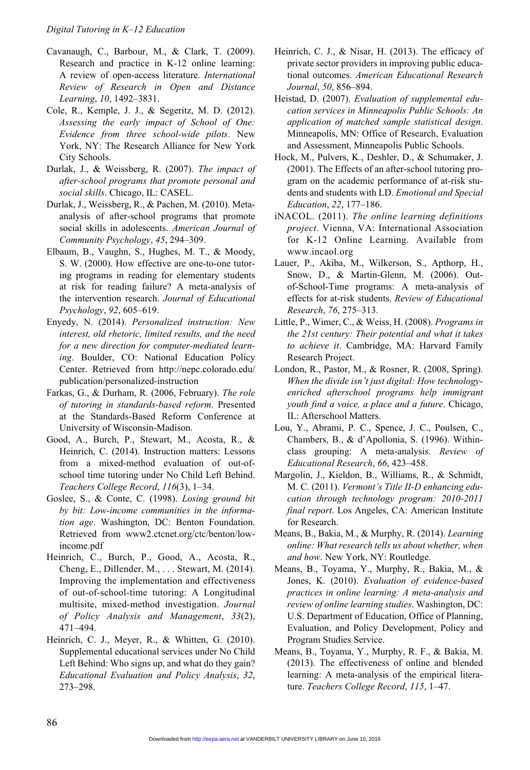- Cavanaugh, C., Barbour, M., & Clark, T. (2009). Research and practice in K-12 online learning: A review of open-access literature. *International Review of Research in Open and Distance Learning*, *10*, 1492–3831.
- Cole, R., Kemple, J. J., & Segeritz, M. D. (2012). *Assessing the early impact of School of One: Evidence from three school-wide pilots*. New York, NY: The Research Alliance for New York City Schools.
- Durlak, J., & Weissberg, R. (2007). *The impact of after-school programs that promote personal and social skills*. Chicago, IL: CASEL.
- Durlak, J., Weissberg, R., & Pachen, M. (2010). Metaanalysis of after-school programs that promote social skills in adolescents. *American Journal of Community Psychology*, *45*, 294–309.
- Elbaum, B., Vaughn, S., Hughes, M. T., & Moody, S. W. (2000). How effective are one-to-one tutoring programs in reading for elementary students at risk for reading failure? A meta-analysis of the intervention research. *Journal of Educational Psychology*, *92*, 605–619.
- Enyedy, N. (2014). *Personalized instruction: New interest, old rhetoric, limited results, and the need for a new direction for computer-mediated learning*. Boulder, CO: National Education Policy Center. Retrieved from [http://nepc.colorado.edu/](http://nepc.colorado.edu/publication/personalized-instruction) [publication/personalized-instruction](http://nepc.colorado.edu/publication/personalized-instruction)
- Farkas, G., & Durham, R. (2006, February). *The role of tutoring in standards-based reform*. Presented at the Standards-Based Reform Conference at University of Wisconsin-Madison.
- Good, A., Burch, P., Stewart, M., Acosta, R., & Heinrich, C. (2014). Instruction matters: Lessons from a mixed-method evaluation of out-ofschool time tutoring under No Child Left Behind. *Teachers College Record*, *116*(3), 1–34.
- Goslee, S., & Conte, C. (1998). *Losing ground bit by bit: Low-income communities in the information age*. Washington, DC: Benton Foundation. Retrieved from [www2.ctcnet.org/ctc/benton/low](www2.ctcnet.org/ctc/benton/low-income.pdf)[income.pdf](www2.ctcnet.org/ctc/benton/low-income.pdf)
- Heinrich, C., Burch, P., Good, A., Acosta, R., Cheng, E., Dillender, M., . . . Stewart, M. (2014). Improving the implementation and effectiveness of out-of-school-time tutoring: A Longitudinal multisite, mixed-method investigation. *Journal of Policy Analysis and Management*, *33*(2), 471–494.
- Heinrich, C. J., Meyer, R., & Whitten, G. (2010). Supplemental educational services under No Child Left Behind: Who signs up, and what do they gain? *Educational Evaluation and Policy Analysis*, *32*, 273–298.
- Heinrich, C. J., & Nisar, H. (2013). The efficacy of private sector providers in improving public educational outcomes. *American Educational Research Journal*, *50*, 856–894.
- Heistad, D. (2007). *Evaluation of supplemental education services in Minneapolis Public Schools: An application of matched sample statistical design*. Minneapolis, MN: Office of Research, Evaluation and Assessment, Minneapolis Public Schools.
- Hock, M., Pulvers, K., Deshler, D., & Schumaker, J. (2001). The Effects of an after-school tutoring program on the academic performance of at-risk students and students with LD. *Emotional and Special Education*, *22*, 177–186.
- iNACOL. (2011). *The online learning definitions project*. Vienna, VA: International Association for K-12 Online Learning. Available from <www.incaol.org>
- Lauer, P., Akiba, M., Wilkerson, S., Apthorp, H., Snow, D., & Martin-Glenn, M. (2006). Outof-School-Time programs: A meta-analysis of effects for at-risk students. *Review of Educational Research*, *76*, 275–313.
- Little, P., Wimer, C., & Weiss, H. (2008). *Programs in the 21st century: Their potential and what it takes to achieve it*. Cambridge, MA: Harvard Family Research Project.
- London, R., Pastor, M., & Rosner, R. (2008, Spring). *When the divide isn't just digital: How technologyenriched afterschool programs help immigrant youth find a voice, a place and a future*. Chicago, IL: Afterschool Matters.
- Lou, Y., Abrami, P. C., Spence, J. C., Poulsen, C., Chambers, B., & d'Apollonia, S. (1996). Withinclass grouping: A meta-analysis. *Review of Educational Research*, *66*, 423–458.
- Margolin, J., Kieldon, B., Williams, R., & Schmidt, M. C. (2011). *Vermont's Title II-D enhancing education through technology program: 2010-2011 final report*. Los Angeles, CA: American Institute for Research.
- Means, B., Bakia, M., & Murphy, R. (2014). *Learning online: What research tells us about whether, when and how*. New York, NY: Routledge.
- Means, B., Toyama, Y., Murphy, R., Bakia, M., & Jones, K. (2010). *Evaluation of evidence-based practices in online learning: A meta-analysis and review of online learning studies*. Washington, DC: U.S. Department of Education, Office of Planning, Evaluation, and Policy Development, Policy and Program Studies Service.
- Means, B., Toyama, Y., Murphy, R. F., & Bakia, M. (2013). The effectiveness of online and blended learning: A meta-analysis of the empirical literature. *Teachers College Record*, *115*, 1–47.